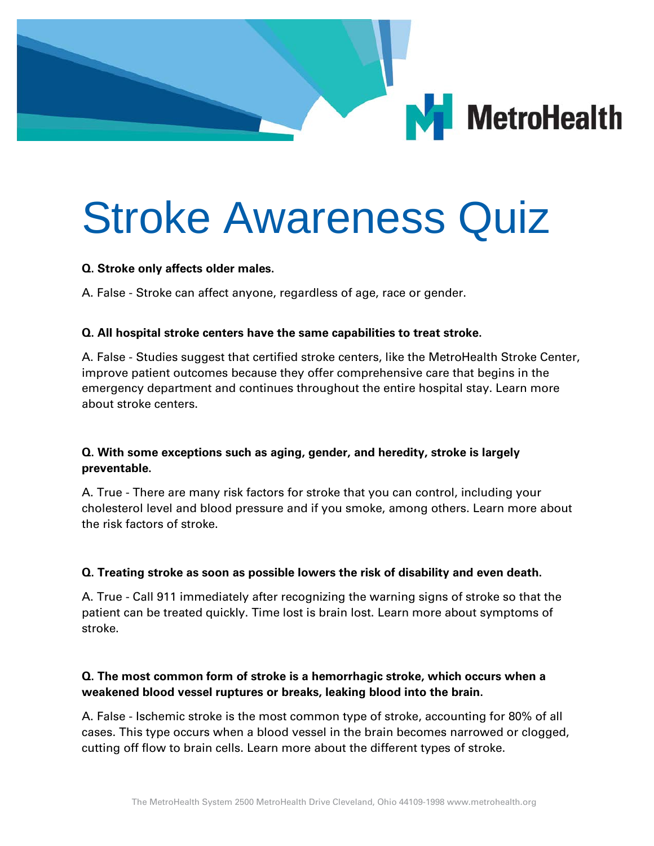

# Stroke Awareness Quiz

#### **Q. Stroke only affects older males.**

A. False - Stroke can affect anyone, regardless of age, race or gender.

## **Q. All hospital stroke centers have the same capabilities to treat stroke.**

A. False - Studies suggest that certified stroke centers, like the MetroHealth Stroke Center, improve patient outcomes because they offer comprehensive care that begins in the emergency department and continues throughout the entire hospital stay. Learn more about stroke centers.

# **Q. With some exceptions such as aging, gender, and heredity, stroke is largely preventable.**

A. True - There are many risk factors for stroke that you can control, including your cholesterol level and blood pressure and if you smoke, among others. Learn more about the risk factors of stroke.

#### **Q. Treating stroke as soon as possible lowers the risk of disability and even death.**

A. True - Call 911 immediately after recognizing the warning signs of stroke so that the patient can be treated quickly. Time lost is brain lost. Learn more about symptoms of stroke.

## **Q. The most common form of stroke is a hemorrhagic stroke, which occurs when a weakened blood vessel ruptures or breaks, leaking blood into the brain.**

A. False - Ischemic stroke is the most common type of stroke, accounting for 80% of all cases. This type occurs when a blood vessel in the brain becomes narrowed or clogged, cutting off flow to brain cells. Learn more about the different types of stroke.